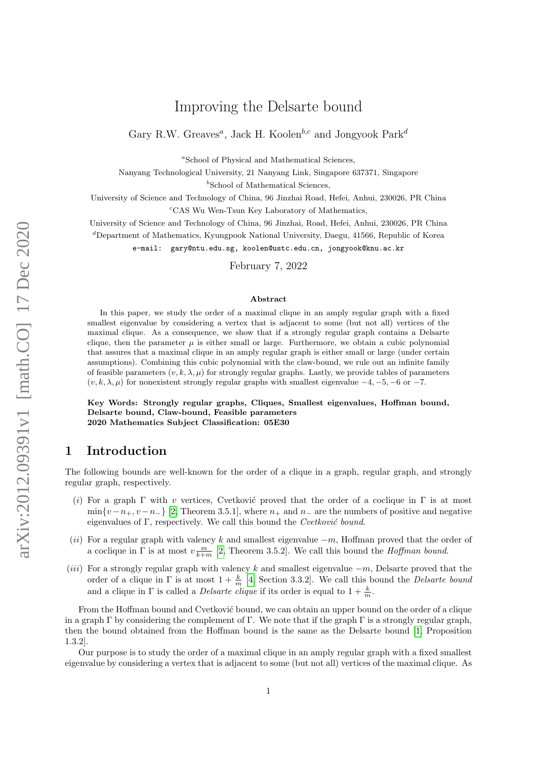# Improving the Delsarte bound

Gary R.W. Greaves<sup>*a*</sup>, Jack H. Koolen<sup>b,c</sup> and Jongyook Park<sup>d</sup>

<sup>a</sup>School of Physical and Mathematical Sciences,

Nanyang Technological University, 21 Nanyang Link, Singapore 637371, Singapore

 $b$ School of Mathematical Sciences.

University of Science and Technology of China, 96 Jinzhai Road, Hefei, Anhui, 230026, PR China  ${}^c$ CAS Wu Wen-Tsun Key Laboratory of Mathematics,

University of Science and Technology of China, 96 Jinzhai, Road, Hefei, Anhui, 230026, PR China

 $d$ Department of Mathematics, Kyungpook National University, Daegu, 41566, Republic of Korea

e-mail: gary@ntu.edu.sg, koolen@ustc.edu.cn, jongyook@knu.ac.kr

February 7, 2022

#### Abstract

In this paper, we study the order of a maximal clique in an amply regular graph with a fixed smallest eigenvalue by considering a vertex that is adjacent to some (but not all) vertices of the maximal clique. As a consequence, we show that if a strongly regular graph contains a Delsarte clique, then the parameter  $\mu$  is either small or large. Furthermore, we obtain a cubic polynomial that assures that a maximal clique in an amply regular graph is either small or large (under certain assumptions). Combining this cubic polynomial with the claw-bound, we rule out an infinite family of feasible parameters  $(v, k, \lambda, \mu)$  for strongly regular graphs. Lastly, we provide tables of parameters  $(v, k, \lambda, \mu)$  for nonexistent strongly regular graphs with smallest eigenvalue  $-4, -5, -6$  or  $-7$ .

Key Words: Strongly regular graphs, Cliques, Smallest eigenvalues, Hoffman bound, Delsarte bound, Claw-bound, Feasible parameters 2020 Mathematics Subject Classification: 05E30

## 1 Introduction

The following bounds are well-known for the order of a clique in a graph, regular graph, and strongly regular graph, respectively.

- (i) For a graph  $\Gamma$  with v vertices, Cvetković proved that the order of a coclique in  $\Gamma$  is at most  $\min\{v-n_+,v-n_-\}$  [\[2,](#page-5-0) Theorem 3.5.1], where  $n_+$  and  $n_-\$  are the numbers of positive and negative eigenvalues of  $\Gamma$ , respectively. We call this bound the Cvetković bound.
- (ii) For a regular graph with valency k and smallest eigenvalue  $-m$ , Hoffman proved that the order of a coclique in  $\Gamma$  is at most  $v \frac{m}{k+m}$  [\[2,](#page-5-0) Theorem 3.5.2]. We call this bound the *Hoffman bound*.
- (iii) For a strongly regular graph with valency k and smallest eigenvalue  $-m$ , Delsarte proved that the order of a clique in  $\Gamma$  is at most  $1 + \frac{k}{m}$  [\[4,](#page-5-1) Section 3.3.2]. We call this bound the *Delsarte bound* and a clique in  $\Gamma$  is called a *Delsarte clique* if its order is equal to  $1 + \frac{k}{m}$ .

From the Hoffman bound and Cvetković bound, we can obtain an upper bound on the order of a clique in a graph  $\Gamma$  by considering the complement of  $\Gamma$ . We note that if the graph  $\Gamma$  is a strongly regular graph, then the bound obtained from the Hoffman bound is the same as the Delsarte bound [\[1,](#page-5-2) Proposition 1.3.2].

Our purpose is to study the order of a maximal clique in an amply regular graph with a fixed smallest eigenvalue by considering a vertex that is adjacent to some (but not all) vertices of the maximal clique. As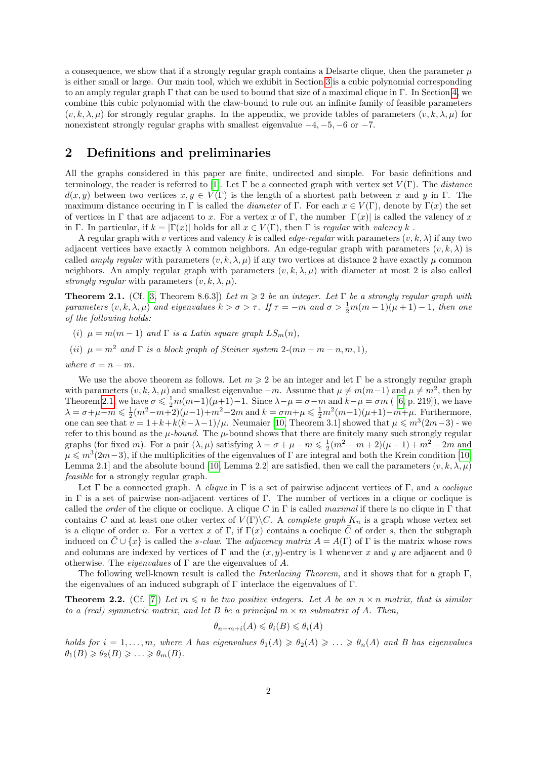a consequence, we show that if a strongly regular graph contains a Delsarte clique, then the parameter  $\mu$ is either small or large. Our main tool, which we exhibit in Section [3](#page-2-0) is a cubic polynomial corresponding to an amply regular graph  $\Gamma$  that can be used to bound that size of a maximal clique in  $\Gamma$ . In Section [4,](#page-4-0) we combine this cubic polynomial with the claw-bound to rule out an infinite family of feasible parameters  $(v, k, \lambda, \mu)$  for strongly regular graphs. In the appendix, we provide tables of parameters  $(v, k, \lambda, \mu)$  for nonexistent strongly regular graphs with smallest eigenvalue  $-4, -5, -6$  or  $-7$ .

## <span id="page-1-2"></span>2 Definitions and preliminaries

All the graphs considered in this paper are finite, undirected and simple. For basic definitions and terminology, the reader is referred to [\[1\]](#page-5-2). Let  $\Gamma$  be a connected graph with vertex set  $V(\Gamma)$ . The distance  $d(x, y)$  between two vertices  $x, y \in V(\Gamma)$  is the length of a shortest path between x and y in Γ. The maximum distance occuring in Γ is called the *diameter* of Γ. For each  $x \in V(\Gamma)$ , denote by Γ(x) the set of vertices in Γ that are adjacent to x. For a vertex x of Γ, the number  $|\Gamma(x)|$  is called the valency of x in Γ. In particular, if  $k = |\Gamma(x)|$  holds for all  $x \in V(\Gamma)$ , then Γ is regular with valency k.

A regular graph with v vertices and valency k is called *edge-regular* with parameters  $(v, k, \lambda)$  if any two adjacent vertices have exactly  $\lambda$  common neighbors. An edge-regular graph with parameters  $(v, k, \lambda)$  is called amply regular with parameters  $(v, k, \lambda, \mu)$  if any two vertices at distance 2 have exactly  $\mu$  common neighbors. An amply regular graph with parameters  $(v, k, \lambda, \mu)$  with diameter at most 2 is also called strongly regular with parameters  $(v, k, \lambda, \mu)$ .

<span id="page-1-0"></span>**Theorem 2.1.** (Cf. [\[3,](#page-5-3) Theorem 8.6.3]) Let  $m \geq 2$  be an integer. Let  $\Gamma$  be a strongly regular graph with parameters  $(v, k, \lambda, \mu)$  and eigenvalues  $k > \sigma > \tau$ . If  $\tau = -m$  and  $\sigma > \frac{1}{2}m(m-1)(\mu+1) - 1$ , then one of the following holds:

(i)  $\mu = m(m-1)$  and  $\Gamma$  is a Latin square graph  $LS_m(n)$ ,

(ii)  $\mu = m^2$  and  $\Gamma$  is a block graph of Steiner system 2-(mn + m - n, m, 1),

where 
$$
\sigma = n - m
$$
.

We use the above theorem as follows. Let  $m \geqslant 2$  be an integer and let Γ be a strongly regular graph with parameters  $(v, k, \lambda, \mu)$  and smallest eigenvalue  $-m$ . Assume that  $\mu \neq m(m-1)$  and  $\mu \neq m^2$ , then by Theorem [2.1,](#page-1-0) we have  $\sigma \leq \frac{1}{2}m(m-1)(\mu+1)-1$ . Since  $\lambda - \mu = \sigma - m$  and  $k-\mu = \sigma m$  ( [\[6,](#page-5-4) p. 219]), we have  $\lambda = \sigma + \mu - m \leq \frac{1}{2}(m^2 - m + 2)(\mu - 1) + m^2 - 2m$  and  $k = \sigma m + \mu \leq \frac{1}{2}m^2(m-1)(\mu + 1) - m + \mu$ . Furthermore, one can see that  $v = 1 + k + k(k - \lambda - 1)/\mu$ . Neumaier [\[10,](#page-5-5) Theorem 3.1] showed that  $\mu \leq m^3(2m-3)$  - we refer to this bound as the  $\mu$ -bound. The  $\mu$ -bound shows that there are finitely many such strongly regular graphs (for fixed m). For a pair  $(\lambda, \mu)$  satisfying  $\lambda = \sigma + \mu - m \leq \frac{1}{2}(m^2 - m + 2)(\mu - 1) + m^2 - 2m$  and  $\mu \leqslant m^3(2m-3)$ , if the multiplicities of the eigenvalues of  $\Gamma$  are integral and both the Krein condition [\[10,](#page-5-5) Lemma 2.1] and the absolute bound [\[10,](#page-5-5) Lemma 2.2] are satisfied, then we call the parameters  $(v, k, \lambda, \mu)$ feasible for a strongly regular graph.

Let  $\Gamma$  be a connected graph. A *clique* in  $\Gamma$  is a set of pairwise adjacent vertices of  $\Gamma$ , and a *coclique* in Γ is a set of pairwise non-adjacent vertices of Γ. The number of vertices in a clique or coclique is called the *order* of the clique or coclique. A clique C in  $\Gamma$  is called maximal if there is no clique in  $\Gamma$  that contains C and at least one other vertex of  $V(\Gamma)\backslash C$ . A *complete graph*  $K_n$  is a graph whose vertex set is a clique of order n. For a vertex x of Γ, if Γ(x) contains a coclique  $\overline{C}$  of order s, then the subgraph induced on  $\bar{C} \cup \{x\}$  is called the s-claw. The adjacency matrix  $A = A(\Gamma)$  of  $\Gamma$  is the matrix whose rows and columns are indexed by vertices of  $\Gamma$  and the  $(x, y)$ -entry is 1 whenever x and y are adjacent and 0 otherwise. The *eigenvalues* of  $\Gamma$  are the eigenvalues of A.

The following well-known result is called the *Interlacing Theorem*, and it shows that for a graph  $\Gamma$ , the eigenvalues of an induced subgraph of  $\Gamma$  interlace the eigenvalues of  $\Gamma$ .

<span id="page-1-1"></span>**Theorem 2.2.** (Cf. [\[7\]](#page-5-6)) Let  $m \leq n$  be two positive integers. Let A be an  $n \times n$  matrix, that is similar to a (real) symmetric matrix, and let B be a principal  $m \times m$  submatrix of A. Then,

$$
\theta_{n-m+i}(A) \leq \theta_i(B) \leq \theta_i(A)
$$

holds for  $i = 1, \ldots, m$ , where A has eigenvalues  $\theta_1(A) \geq \theta_2(A) \geq \ldots \geq \theta_n(A)$  and B has eigenvalues  $\theta_1(B) \geq \theta_2(B) \geq \ldots \geq \theta_m(B).$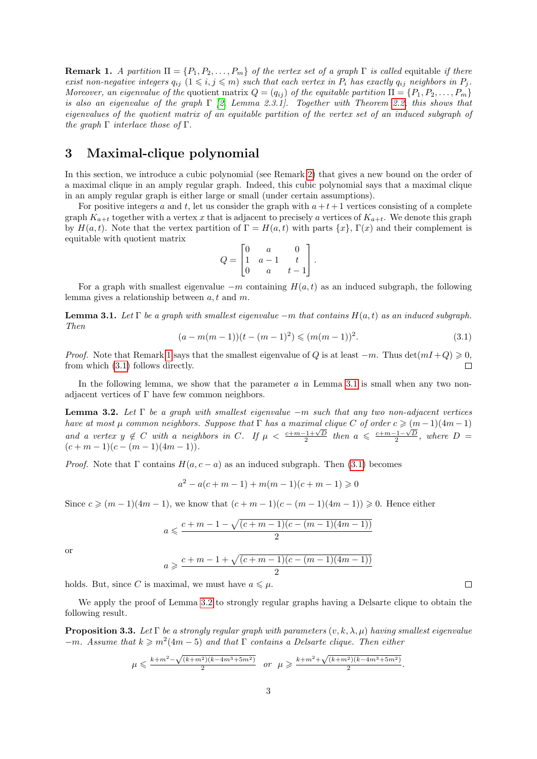<span id="page-2-1"></span>**Remark 1.** A partition  $\Pi = \{P_1, P_2, \ldots, P_m\}$  of the vertex set of a graph  $\Gamma$  is called equitable if there exist non-negative integers  $q_{ij}$   $(1 \leq i, j \leq m)$  such that each vertex in  $P_i$  has exactly  $q_{ij}$  neighbors in  $P_j$ . Moreover, an eigenvalue of the quotient matrix  $Q = (q_{ij})$  of the equitable partition  $\Pi = \{P_1, P_2, \ldots, P_m\}$ is also an eigenvalue of the graph  $\Gamma$  [\[2,](#page-5-0) Lemma 2.3.1]. Together with Theorem [2.2,](#page-1-1) this shows that eigenvalues of the quotient matrix of an equitable partition of the vertex set of an induced subgraph of the graph  $\Gamma$  interlace those of  $\Gamma$ .

# <span id="page-2-0"></span>3 Maximal-clique polynomial

In this section, we introduce a cubic polynomial (see Remark [2\)](#page-4-1) that gives a new bound on the order of a maximal clique in an amply regular graph. Indeed, this cubic polynomial says that a maximal clique in an amply regular graph is either large or small (under certain assumptions).

For positive integers a and t, let us consider the graph with  $a+t+1$  vertices consisting of a complete graph  $K_{a+t}$  together with a vertex x that is adjacent to precisely a vertices of  $K_{a+t}$ . We denote this graph by  $H(a, t)$ . Note that the vertex partition of  $\Gamma = H(a, t)$  with parts  $\{x\}$ ,  $\Gamma(x)$  and their complement is equitable with quotient matrix

$$
Q = \begin{bmatrix} 0 & a & 0 \\ 1 & a-1 & t \\ 0 & a & t-1 \end{bmatrix}.
$$

For a graph with smallest eigenvalue  $-m$  containing  $H(a, t)$  as an induced subgraph, the following lemma gives a relationship between a, t and m.

<span id="page-2-3"></span>**Lemma 3.1.** Let Γ be a graph with smallest eigenvalue  $-m$  that contains  $H(a, t)$  as an induced subgraph. Then

<span id="page-2-2"></span>
$$
(a - m(m - 1))(t - (m - 1)^{2}) \leq (m(m - 1))^{2}.
$$
\n(3.1)

*Proof.* Note that Remark [1](#page-2-1) says that the smallest eigenvalue of Q is at least  $-m$ . Thus  $\det(mI+Q) \geq 0$ , from which (3.[1\)](#page-2-2) follows directly.  $\Box$ 

In the following lemma, we show that the parameter  $a$  in Lemma [3.1](#page-2-3) is small when any two nonadjacent vertices of Γ have few common neighbors.

<span id="page-2-4"></span>**Lemma 3.2.** Let  $\Gamma$  be a graph with smallest eigenvalue  $-m$  such that any two non-adjacent vertices have at most  $\mu$  common neighbors. Suppose that  $\Gamma$  has a maximal clique C of order  $c \geqslant (m-1)(4m-1)$ and a vertex  $y \notin C$  with a neighbors in C. If  $\mu < \frac{c+m-1+\sqrt{D}}{2}$  then  $a \leq \frac{c+m-1-\sqrt{D}}{2}$ , where  $D =$  $(c + m - 1)(c - (m - 1)(4m - 1)).$ 

*Proof.* Note that  $\Gamma$  contains  $H(a, c - a)$  as an induced subgraph. Then [\(3.1\)](#page-2-2) becomes

$$
a^{2} - a(c + m - 1) + m(m - 1)(c + m - 1) \ge 0
$$

Since  $c \geq (m-1)(4m-1)$ , we know that  $(c+m-1)(c-(m-1)(4m-1)) \geq 0$ . Hence either

$$
a \leqslant \frac{c+m-1-\sqrt{(c+m-1)(c-(m-1)(4m-1))}}{2}
$$

or

$$
a \geqslant \frac{c+m-1+\sqrt{(c+m-1)(c-(m-1)(4m-1))}}{2}
$$

holds. But, since C is maximal, we must have  $a \leq \mu$ .

We apply the proof of Lemma [3.2](#page-2-4) to strongly regular graphs having a Delsarte clique to obtain the following result.

**Proposition 3.3.** Let  $\Gamma$  be a strongly regular graph with parameters  $(v, k, \lambda, \mu)$  having smallest eigenvalue  $-m$ . Assume that  $k \geq m^2(4m-5)$  and that  $\Gamma$  contains a Delsarte clique. Then either

$$
\mu \leqslant \frac{k+m^2 - \sqrt{(k+m^2)(k-4m^3+5m^2)}}{2} \quad or \quad \mu \geqslant \frac{k+m^2 + \sqrt{(k+m^2)(k-4m^3+5m^2)}}{2}.
$$

 $\Box$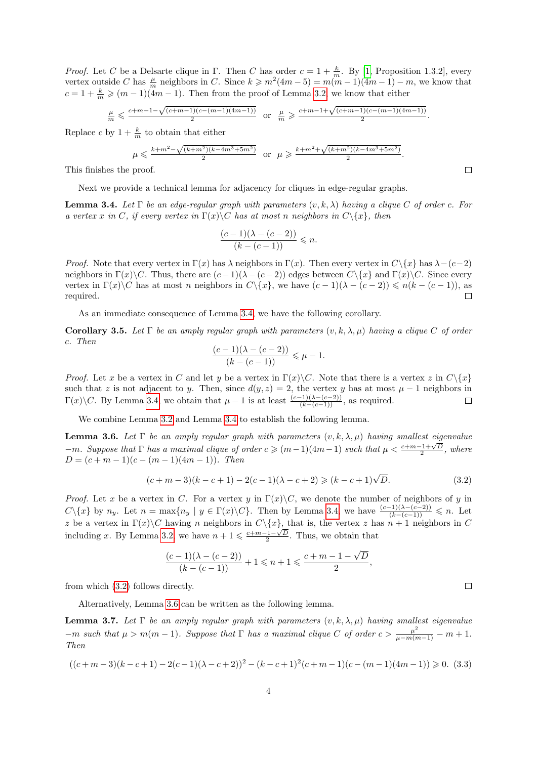*Proof.* Let C be a Delsarte clique in  $\Gamma$ . Then C has order  $c = 1 + \frac{k}{m}$ . By [\[1,](#page-5-2) Proposition 1.3.2], every vertex outside C has  $\frac{\mu}{m}$  neighbors in C. Since  $k \geq m^2(4m-5) = m(m-1)(4m-1) - m$ , we know that  $c = 1 + \frac{k}{m} \geqslant (m-1)(4m-1)$ . Then from the proof of Lemma [3.2,](#page-2-4) we know that either

$$
\tfrac{\mu}{m} \leqslant \tfrac{c+m-1-\sqrt{(c+m-1)(c-(m-1)(4m-1))}}{2} \text{ or } \tfrac{\mu}{m} \geqslant \tfrac{c+m-1+\sqrt{(c+m-1)(c-(m-1)(4m-1))}}{2}.
$$

Replace c by  $1 + \frac{k}{m}$  to obtain that either

$$
\mu \leqslant \frac{k+m^2 - \sqrt{(k+m^2)(k-4m^3+5m^2)}}{2} \quad \text{or} \quad \mu \geqslant \frac{k+m^2 + \sqrt{(k+m^2)(k-4m^3+5m^2)}}{2}.
$$

This finishes the proof.

Next we provide a technical lemma for adjacency for cliques in edge-regular graphs.

<span id="page-3-0"></span>**Lemma 3.4.** Let  $\Gamma$  be an edge-regular graph with parameters  $(v, k, \lambda)$  having a clique C of order c. For a vertex x in C, if every vertex in  $\Gamma(x)\backslash C$  has at most n neighbors in  $C\backslash\{x\}$ , then

$$
\frac{(c-1)(\lambda-(c-2))}{(k-(c-1))} \leq n.
$$

*Proof.* Note that every vertex in  $\Gamma(x)$  has  $\lambda$  neighbors in  $\Gamma(x)$ . Then every vertex in  $C\setminus\{x\}$  has  $\lambda-(c-2)$ neighbors in  $\Gamma(x)\backslash C$ . Thus, there are  $(c-1)(\lambda-(c-2))$  edges between  $C\backslash\{x\}$  and  $\Gamma(x)\backslash C$ . Since every vertex in  $\Gamma(x)\backslash C$  has at most n neighbors in  $C\backslash\{x\}$ , we have  $(c-1)(\lambda-(c-2))\leq n(k-(c-1))$ , as required.  $\Box$ 

As an immediate consequence of Lemma [3.4,](#page-3-0) we have the following corollary.

Corollary 3.5. Let  $\Gamma$  be an amply regular graph with parameters  $(v, k, \lambda, \mu)$  having a clique C of order c. Then

$$
\frac{(c-1)(\lambda - (c-2))}{(k - (c-1))} \le \mu - 1.
$$

*Proof.* Let x be a vertex in C and let y be a vertex in  $\Gamma(x)\backslash C$ . Note that there is a vertex z in  $C\backslash\{x\}$ such that z is not adjacent to y. Then, since  $d(y, z) = 2$ , the vertex y has at most  $\mu - 1$  neighbors in  $\Gamma(x)\backslash C$ . By Lemma [3.4,](#page-3-0) we obtain that  $\mu-1$  is at least  $\frac{(c-1)(\lambda-(c-2))}{(k-(c-1))}$ , as required.  $\Box$ 

We combine Lemma [3.2](#page-2-4) and Lemma [3.4](#page-3-0) to establish the following lemma.

<span id="page-3-2"></span>**Lemma 3.6.** Let  $\Gamma$  be an amply regular graph with parameters  $(v, k, \lambda, \mu)$  having smallest eigenvalue  $-m$ . Suppose that Γ has a maximal clique of order  $c \geqslant (m-1)(4m-1)$  such that  $\mu < \frac{c+m-1+\sqrt{D}}{2}$ , where  $D = (c + m - 1)(c - (m - 1)(4m - 1))$ . Then

<span id="page-3-1"></span>
$$
(c+m-3)(k-c+1) - 2(c-1)(\lambda - c + 2) \geqslant (k-c+1)\sqrt{D}.
$$
\n(3.2)

*Proof.* Let x be a vertex in C. For a vertex y in  $\Gamma(x)\backslash C$ , we denote the number of neighbors of y in  $C\setminus\{x\}$  by  $n_y$ . Let  $n = \max\{n_y \mid y \in \Gamma(x)\setminus C\}$ . Then by Lemma [3.4,](#page-3-0) we have  $\frac{(c-1)(\lambda-(c-2))}{(k-(c-1))} \leq n$ . Let z be a vertex in  $\Gamma(x)\backslash C$  having n neighbors in  $C\backslash\{x\}$ , that is, the vertex z has  $n+1$  neighbors in C including x. By Lemma [3.2,](#page-2-4) we have  $n + 1 \leq \frac{c+m-1-\sqrt{D}}{2}$ . Thus, we obtain that

$$
\frac{(c-1)(\lambda-(c-2))}{(k-(c-1))}+1 \leqslant n+1 \leqslant \frac{c+m-1-\sqrt{D}}{2},
$$

from which (3.[2\)](#page-3-1) follows directly.

Alternatively, Lemma [3.6](#page-3-2) can be written as the following lemma.

<span id="page-3-4"></span>**Lemma 3.7.** Let  $\Gamma$  be an amply regular graph with parameters  $(v, k, \lambda, \mu)$  having smallest eigenvalue  $-m$  such that  $\mu > m(m-1)$ . Suppose that  $\Gamma$  has a maximal clique C of order  $c > \frac{\mu^2}{\mu - m(m-1)} - m + 1$ . Then

<span id="page-3-3"></span>
$$
((c+m-3)(k-c+1)-2(c-1)(\lambda-c+2))^2 - (k-c+1)^2(c+m-1)(c-(m-1)(4m-1)) \ge 0.
$$
 (3.3)

 $\Box$ 

 $\Box$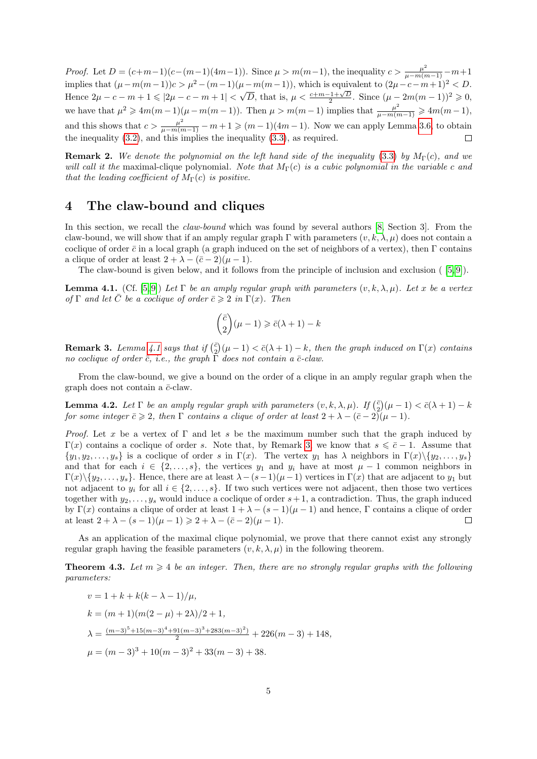*Proof.* Let  $D = (c+m-1)(c-(m-1)(4m-1))$ . Since  $\mu > m(m-1)$ , the inequality  $c > \frac{\mu^2}{\mu - m(m-1)} - m + 1$ implies that  $(\mu - m(m-1))c > \mu^2 - (m-1)(\mu - m(m-1))$ , which is equivalent to  $(2\mu - c - m + 1)^2 < D$ . Hence  $2\mu - c - m + 1 \leqslant |2\mu - c - m + 1| < \sqrt{D}$ , that is,  $\mu < \frac{c+m-1+\sqrt{D}}{2}$ . Since  $(\mu - 2m(m-1))^2 \geqslant 0$ , we have that  $\mu^2 \geqslant 4m(m-1)(\mu - m(m-1))$ . Then  $\mu > m(m-1)$  implies that  $\frac{\mu^2}{\mu - m(m-1)} \geqslant 4m(m-1)$ , and this shows that  $c > \frac{\mu^2}{\mu - m(m-1)} - m + 1 \geqslant (m-1)(4m-1)$ . Now we can apply Lemma [3.6,](#page-3-2) to obtain the inequality [\(3](#page-3-1).2), and this implies the inequality (3.[3\)](#page-3-3), as required.  $\Box$ 

<span id="page-4-1"></span>**Remark 2.** We denote the polynomial on the left hand side of the inequality [\(3.3\)](#page-3-3) by  $M_{\Gamma}(c)$ , and we will call it the maximal-clique polynomial. Note that  $M_{\Gamma}(c)$  is a cubic polynomial in the variable c and that the leading coefficient of  $M_{\Gamma}(c)$  is positive.

### <span id="page-4-0"></span>4 The claw-bound and cliques

In this section, we recall the *claw-bound* which was found by several authors [\[8,](#page-5-7) Section 3]. From the claw-bound, we will show that if an amply regular graph  $\Gamma$  with parameters  $(v, k, \lambda, \mu)$  does not contain a coclique of order  $\bar{c}$  in a local graph (a graph induced on the set of neighbors of a vertex), then Γ contains a clique of order at least  $2 + \lambda - (\bar{c} - 2)(\mu - 1)$ .

The claw-bound is given below, and it follows from the principle of inclusion and exclusion ( [\[5,](#page-5-8) [9\]](#page-5-9)).

<span id="page-4-2"></span>**Lemma 4.1.** (Cf. [\[5,](#page-5-8)9]) Let  $\Gamma$  be an amply regular graph with parameters  $(v, k, \lambda, \mu)$ . Let x be a vertex of  $\Gamma$  and let  $\overline{C}$  be a coclique of order  $\overline{c}\geqslant 2$  in  $\Gamma(x)$ . Then

$$
\binom{\bar{c}}{2}(\mu-1)\geqslant \bar{c}(\lambda+1)-k
$$

<span id="page-4-3"></span>**Remark 3.** Lemma [4.1](#page-4-2) says that if  $\binom{\bar{c}}{2}(\mu - 1) < \bar{c}(\lambda + 1) - k$ , then the graph induced on  $\Gamma(x)$  contains no coclique of order  $\bar{c}$ , i.e., the graph  $\Gamma$  does not contain a  $\bar{c}$ -claw.

From the claw-bound, we give a bound on the order of a clique in an amply regular graph when the graph does not contain a  $\bar{c}$ -claw.

<span id="page-4-4"></span>**Lemma 4.2.** Let  $\Gamma$  be an amply regular graph with parameters  $(v, k, \lambda, \mu)$ . If  $\left(\frac{\bar{c}}{2}\right)(\mu - 1) < \bar{c}(\lambda + 1) - k$ for some integer  $\bar{c}\geqslant 2$ , then  $\Gamma$  contains a clique of order at least  $2+\lambda-(\bar{c}-2)(\mu-1)$ .

*Proof.* Let x be a vertex of  $\Gamma$  and let s be the maximum number such that the graph induced by  $\Gamma(x)$  contains a coclique of order s. Note that, by Remark [3,](#page-4-3) we know that  $s \leq \bar{c} - 1$ . Assume that  $\{y_1, y_2, \ldots, y_s\}$  is a coclique of order s in  $\Gamma(x)$ . The vertex  $y_1$  has  $\lambda$  neighbors in  $\Gamma(x)\setminus\{y_2, \ldots, y_s\}$ and that for each  $i \in \{2,\ldots,s\}$ , the vertices  $y_1$  and  $y_i$  have at most  $\mu-1$  common neighbors in  $\Gamma(x)\setminus\{y_2,\ldots,y_s\}.$  Hence, there are at least  $\lambda-(s-1)(\mu-1)$  vertices in  $\Gamma(x)$  that are adjacent to  $y_1$  but not adjacent to  $y_i$  for all  $i \in \{2, \ldots, s\}$ . If two such vertices were not adjacent, then those two vertices together with  $y_2, \ldots, y_s$  would induce a coclique of order  $s+1$ , a contradiction. Thus, the graph induced by Γ(x) contains a clique of order at least  $1 + \lambda - (s-1)(\mu-1)$  and hence, Γ contains a clique of order at least  $2 + \lambda - (s - 1)(\mu - 1) \geq 2 + \lambda - (\bar{c} - 2)(\mu - 1).$  $\Box$ 

As an application of the maximal clique polynomial, we prove that there cannot exist any strongly regular graph having the feasible parameters  $(v, k, \lambda, \mu)$  in the following theorem.

**Theorem 4.3.** Let  $m \geq 4$  be an integer. Then, there are no strongly regular graphs with the following parameters:

$$
v = 1 + k + k(k - \lambda - 1)/\mu,
$$
  
\n
$$
k = (m + 1)(m(2 - \mu) + 2\lambda)/2 + 1,
$$
  
\n
$$
\lambda = \frac{(m - 3)^{5} + 15(m - 3)^{4} + 91(m - 3)^{3} + 283(m - 3)^{2})}{2} + 226(m - 3) + 148,
$$
  
\n
$$
\mu = (m - 3)^{3} + 10(m - 3)^{2} + 33(m - 3) + 38.
$$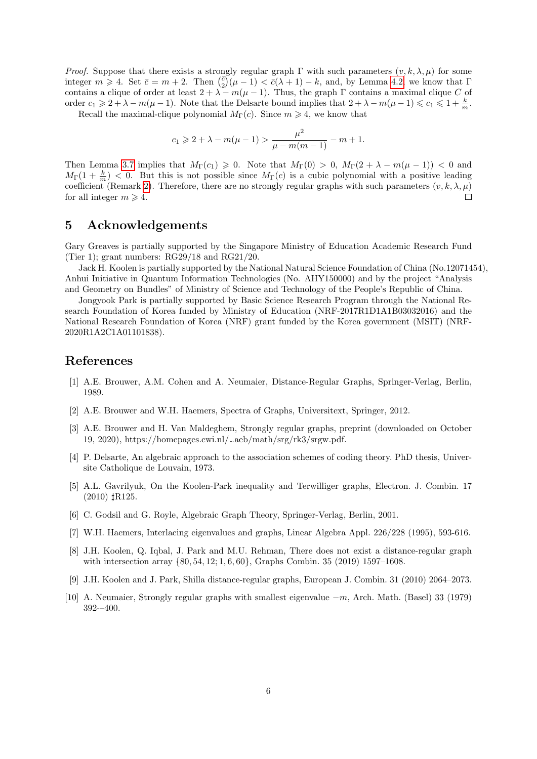*Proof.* Suppose that there exists a strongly regular graph Γ with such parameters  $(v, k, \lambda, \mu)$  for some integer  $m \geq 4$ . Set  $\bar{c} = m + 2$ . Then  $\binom{\bar{c}}{2}(\mu - 1) < \bar{c}(\lambda + 1) - k$ , and, by Lemma [4.2,](#page-4-4) we know that  $\Gamma$ contains a clique of order at least  $2 + \lambda - m(\mu - 1)$ . Thus, the graph  $\Gamma$  contains a maximal clique C of order  $c_1 \geqslant 2 + \lambda - m(\mu - 1)$ . Note that the Delsarte bound implies that  $2 + \lambda - m(\mu - 1) \leqslant c_1 \leqslant 1 + \frac{k}{m}$ .

Recall the maximal-clique polynomial  $M_{\Gamma}(c)$ . Since  $m \geq 4$ , we know that

$$
c_1 \ge 2 + \lambda - m(\mu - 1) > \frac{\mu^2}{\mu - m(m - 1)} - m + 1.
$$

Then Lemma [3.7](#page-3-4) implies that  $M_{\Gamma}(c_1) \geq 0$ . Note that  $M_{\Gamma}(0) > 0$ ,  $M_{\Gamma}(2 + \lambda - m(\mu - 1)) < 0$  and  $M_{\Gamma}(1+\frac{k}{m})$  < 0. But this is not possible since  $M_{\Gamma}(c)$  is a cubic polynomial with a positive leading coefficient (Remark [2\)](#page-4-1). Therefore, there are no strongly regular graphs with such parameters  $(v, k, \lambda, \mu)$ for all integer  $m \geq 4$ .  $\Box$ 

#### 5 Acknowledgements

Gary Greaves is partially supported by the Singapore Ministry of Education Academic Research Fund (Tier 1); grant numbers: RG29/18 and RG21/20.

Jack H. Koolen is partially supported by the National Natural Science Foundation of China (No.12071454), Anhui Initiative in Quantum Information Technologies (No. AHY150000) and by the project "Analysis and Geometry on Bundles" of Ministry of Science and Technology of the People's Republic of China.

Jongyook Park is partially supported by Basic Science Research Program through the National Research Foundation of Korea funded by Ministry of Education (NRF-2017R1D1A1B03032016) and the National Research Foundation of Korea (NRF) grant funded by the Korea government (MSIT) (NRF-2020R1A2C1A01101838).

#### References

- <span id="page-5-2"></span>[1] A.E. Brouwer, A.M. Cohen and A. Neumaier, Distance-Regular Graphs, Springer-Verlag, Berlin, 1989.
- <span id="page-5-0"></span>[2] A.E. Brouwer and W.H. Haemers, Spectra of Graphs, Universitext, Springer, 2012.
- <span id="page-5-3"></span>[3] A.E. Brouwer and H. Van Maldeghem, Strongly regular graphs, preprint (downloaded on October 19, 2020), https://homepages.cwi.nl/ $\sim$ aeb/math/srg/rk3/srgw.pdf.
- <span id="page-5-1"></span>[4] P. Delsarte, An algebraic approach to the association schemes of coding theory. PhD thesis, Universite Catholique de Louvain, 1973.
- <span id="page-5-8"></span>[5] A.L. Gavrilyuk, On the Koolen-Park inequality and Terwilliger graphs, Electron. J. Combin. 17  $(2010)$   $\sharp$ R125.
- <span id="page-5-4"></span>[6] C. Godsil and G. Royle, Algebraic Graph Theory, Springer-Verlag, Berlin, 2001.
- <span id="page-5-6"></span>[7] W.H. Haemers, Interlacing eigenvalues and graphs, Linear Algebra Appl. 226/228 (1995), 593-616.
- <span id="page-5-7"></span>[8] J.H. Koolen, Q. Iqbal, J. Park and M.U. Rehman, There does not exist a distance-regular graph with intersection array {80, 54, 12; 1, 6, 60}, Graphs Combin. 35 (2019) 1597–1608.
- <span id="page-5-9"></span>[9] J.H. Koolen and J. Park, Shilla distance-regular graphs, European J. Combin. 31 (2010) 2064–2073.
- <span id="page-5-5"></span>[10] A. Neumaier, Strongly regular graphs with smallest eigenvalue −m, Arch. Math. (Basel) 33 (1979) 392-–400.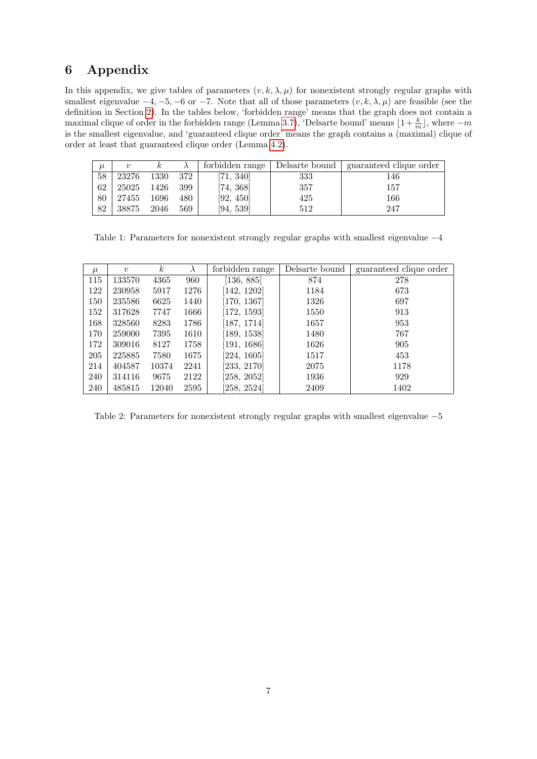# 6 Appendix

In this appendix, we give tables of parameters  $(v, k, \lambda, \mu)$  for nonexistent strongly regular graphs with smallest eigenvalue  $-4, -5, -6$  or  $-7$ . Note that all of those parameters  $(v, k, \lambda, \mu)$  are feasible (see the definition in Section [2\)](#page-1-2). In the tables below, 'forbidden range' means that the graph does not contain a maximal clique of order in the forbidden range (Lemma [3.7\)](#page-3-4), 'Delsarte bound' means  $\lfloor 1+\frac{k}{m} \rfloor$ , where  $-m$ is the smallest eigenvalue, and 'guaranteed clique order' means the graph contains a (maximal) clique of order at least that guaranteed clique order (Lemma [4.2\)](#page-4-4).

| $\mu$ | $\boldsymbol{\eta}$ |      |     | forbidden range | Delsarte bound | guaranteed clique order |
|-------|---------------------|------|-----|-----------------|----------------|-------------------------|
| 58    | 23276               | 1330 | 372 | [71, 340]       | 333            | 146                     |
| 62    | 25025               | 1426 | 399 | [74, 368]       | 357            | 157                     |
| 80    | 27455               | 1696 | 480 | [92, 450]       | 425            | 166                     |
| 82    | 38875               | 2046 | 569 | [94, 539]       | 512            | 247                     |

Table 1: Parameters for nonexistent strongly regular graphs with smallest eigenvalue  $−4$ 

| $\mu$ | $\boldsymbol{v}$ | $\kappa$ | $\lambda$ | forbidden range | Delsarte bound | guaranteed clique order |
|-------|------------------|----------|-----------|-----------------|----------------|-------------------------|
| 115   | 133570           | 4365     | 960       | [136, 885]      | 874            | 278                     |
| 122   | 230958           | 5917     | 1276      | [142, 1202]     | 1184           | 673                     |
| 150   | 235586           | 6625     | 1440      | [170, 1367]     | 1326           | 697                     |
| 152   | 317628           | 7747     | 1666      | [172, 1593]     | 1550           | 913                     |
| 168   | 328560           | 8283     | 1786      | [187, 1714]     | 1657           | 953                     |
| 170   | 259000           | 7395     | 1610      | [189, 1538]     | 1480           | 767                     |
| 172   | 309016           | 8127     | 1758      | [191, 1686]     | 1626           | 905                     |
| 205   | 225885           | 7580     | 1675      | [224, 1605]     | 1517           | 453                     |
| 214   | 404587           | 10374    | 2241      | [233, 2170]     | 2075           | 1178                    |
| 240   | 314116           | 9675     | 2122      | [258, 2052]     | 1936           | 929                     |
| 240   | 485815           | 12040    | 2595      | [258, 2524]     | 2409           | 1402                    |

Table 2: Parameters for nonexistent strongly regular graphs with smallest eigenvalue −5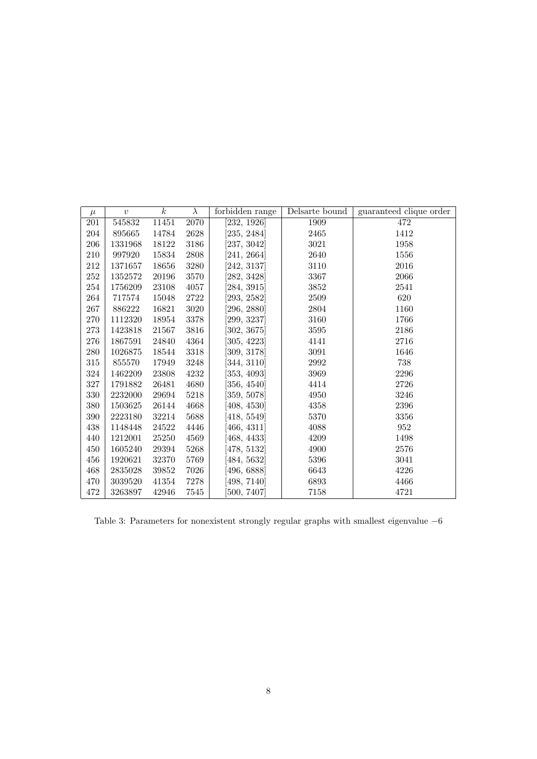| $\mu$   | $\upsilon$ | $\boldsymbol{k}$ | $\lambda$           | forbidden range | Delsarte bound | guaranteed clique order |
|---------|------------|------------------|---------------------|-----------------|----------------|-------------------------|
| 201     | 545832     | 11451            | 2070                | [232, 1926]     | 1909           | 472                     |
| 204     | 895665     | 14784            | 2628                | [235, 2484]     | 2465           | 1412                    |
| 206     | 1331968    | 18122            | 3186                | [237, 3042]     | 3021           | 1958                    |
| 210     | 997920     | 15834            | $\boldsymbol{2808}$ | [241, 2664]     | 2640           | 1556                    |
| 212     | 1371657    | 18656            | 3280                | [242, 3137]     | 3110           | $\,2016$                |
| 252     | 1352572    | 20196            | 3570                | [282, 3428]     | 3367           | 2066                    |
| $254\,$ | 1756209    | 23108            | 4057                | [284, 3915]     | 3852           | 2541                    |
| 264     | 717574     | 15048            | 2722                | [293, 2582]     | 2509           | 620                     |
| 267     | 886222     | 16821            | 3020                | [296, 2880]     | 2804           | 1160                    |
| 270     | 1112320    | 18954            | 3378                | [299, 3237]     | 3160           | 1766                    |
| $273\,$ | 1423818    | 21567            | 3816                | [302, 3675]     | 3595           | 2186                    |
| 276     | 1867591    | 24840            | 4364                | [305, 4223]     | 4141           | 2716                    |
| 280     | 1026875    | 18544            | 3318                | [309, 3178]     | 3091           | 1646                    |
| 315     | 855570     | 17949            | 3248                | [344, 3110]     | 2992           | 738                     |
| 324     | 1462209    | 23808            | 4232                | [353, 4093]     | 3969           | 2296                    |
| 327     | 1791882    | 26481            | 4680                | [356, 4540]     | 4414           | 2726                    |
| 330     | 2232000    | 29694            | 5218                | [359, 5078]     | 4950           | 3246                    |
| 380     | 1503625    | 26144            | 4668                | [408, 4530]     | 4358           | 2396                    |
| 390     | 2223180    | 32214            | 5688                | [418, 5549]     | 5370           | 3356                    |
| 438     | 1148448    | 24522            | 4446                | [466, 4311]     | 4088           | 952                     |
| 440     | 1212001    | 25250            | 4569                | [468, 4433]     | 4209           | 1498                    |
| 450     | 1605240    | 29394            | 5268                | [478, 5132]     | 4900           | 2576                    |
| 456     | 1920621    | 32370            | 5769                | [484, 5632]     | 5396           | 3041                    |
| 468     | 2835028    | 39852            | 7026                | [496, 6888]     | 6643           | 4226                    |
| 470     | 3039520    | 41354            | 7278                | [498, 7140]     | 6893           | 4466                    |
| 472     | 3263897    | 42946            | 7545                | [500, 7407]     | 7158           | 4721                    |

Table 3: Parameters for nonexistent strongly regular graphs with smallest eigenvalue  $-6$